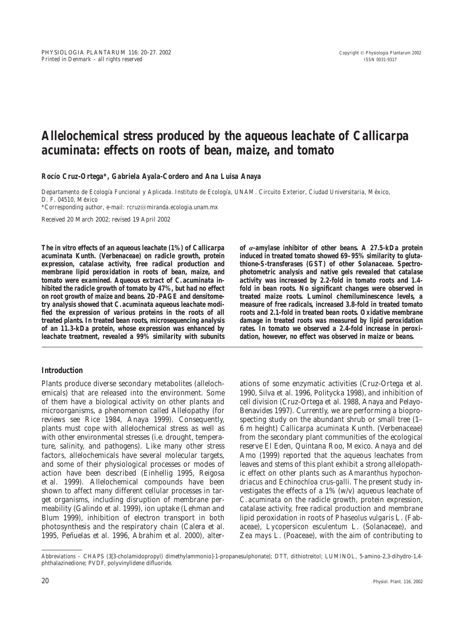# **Allelochemical stress produced by the aqueous leachate of** *Callicarpa acuminata***: effects on roots of bean, maize, and tomato**

Rocio Cruz-Ortega\*, Gabriela Ayala-Cordero and Ana Luisa Anaya

*Departamento de Ecologı´a Funcional y Aplicada. Instituto de Ecologı´a, UNAM. Circuito Exterior, Ciudad Universitaria, Me´xico, D. F. 04510, Me´xico*

*\*Corresponding author, e-mail: rcruz*/*miranda.ecologia.unam.mx*

Received 20 March 2002; revised 19 April 2002

**The in vitro effects of an aqueous leachate (1%) of** *Callicarpa acuminata* **Kunth. (Verbenaceae) on radicle growth, protein expression, catalase activity, free radical production and membrane lipid peroxidation in roots of bean, maize, and tomato were examined. Aqueous extract of** *C. acuminata* **inhibited the radicle growth of tomato by 47%, but had no effect on root growth of maize and beans. 2D-PAGE and densitometry analysis showed that** *C. acuminata* **aqueous leachate modified the expression of various proteins in the roots of all treated plants. In treated bean roots, microsequencing analysis of an 11.3-kDa protein, whose expression was enhanced by leachate treatment, revealed a 99% similarity with subunits**

#### **Introduction**

Plants produce diverse secondary metabolites (allelochemicals) that are released into the environment. Some of them have a biological activity on other plants and microorganisms, a phenomenon called Allelopathy (for reviews see Rice 1984, Anaya 1999). Consequently, plants must cope with allelochemical stress as well as with other environmental stresses (i.e. drought, temperature, salinity, and pathogens). Like many other stress factors, allelochemicals have several molecular targets, and some of their physiological processes or modes of action have been described (Einhellig 1995, Reigosa et al. 1999). Allelochemical compounds have been shown to affect many different cellular processes in target organisms, including disruption of membrane permeability (Galindo et al. 1999), ion uptake (Lehman and Blum 1999), inhibition of electron transport in both photosynthesis and the respiratory chain (Calera et al. 1995, Peñuelas et al. 1996. Abrahim et al. 2000), alter-

**of** *a***-amylase inhibitor of other beans. A 27.5-kDa protein induced in treated tomato showed 69–95% similarity to glutathione-***S***-transferases (GST) of other Solanaceae. Spectrophotometric analysis and native gels revealed that catalase activity was increased by 2.2-fold in tomato roots and 1.4 fold in bean roots. No significant changes were observed in treated maize roots. Luminol chemiluminescence levels, a measure of free radicals, increased 3.8-fold in treated tomato roots and 2.1-fold in treated bean roots. Oxidative membrane damage in treated roots was measured by lipid peroxidation rates. In tomato we observed a 2.4-fold increase in peroxidation, however, no effect was observed in maize or beans.**

ations of some enzymatic activities (Cruz-Ortega et al. 1990, Silva et al. 1996, Politycka 1998), and inhibition of cell division (Cruz-Ortega et al. 1988, Anaya and Pelayo-Benavides 1997). Currently, we are performing a bioprospecting study on the abundant shrub or small tree (1– 6 m height) *Callicarpa acuminata* Kunth. (Verbenaceae) from the secondary plant communities of the ecological reserve El Eden, Quintana Roo, Mexico. Anaya and del Amo (1999) reported that the aqueous leachates from leaves and stems of this plant exhibit a strong allelopathic effect on other plants such as *Amaranthus hypochondriacus* and *Echinochloa crus-galli*. The present study investigates the effects of a 1% (w/v) aqueous leachate of *C. acuminata* on the radicle growth, protein expression, catalase activity, free radical production and membrane lipid peroxidation in roots of *Phaseolus vulgaris* L. (Fabaceae), *Lycopersicon esculentum* L. (Solanaceae), and *Zea mays* L. (Poaceae), with the aim of contributing to

*Abbreviations –* CHAPS (3[3-cholamidopropyl) dimethylammonio]-1-propanesulphonate); DTT, dithiotreitol; LUMINOL, 5-amino-2,3-dihydro-1,4 phthalazinedione; PVDF, polyvinylidene difluoride.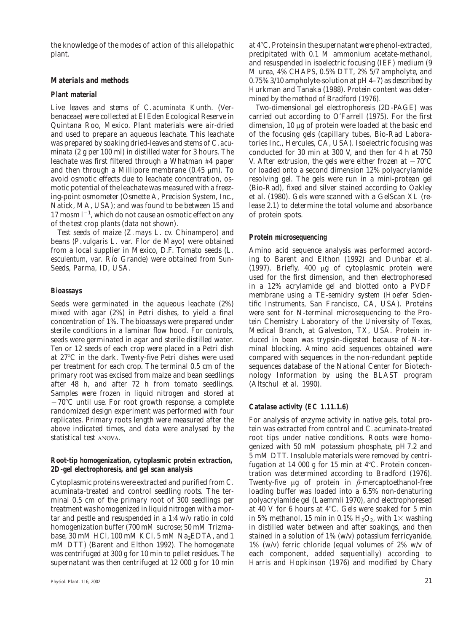the knowledge of the modes of action of this allelopathic plant.

# **Materials and methods**

#### **Plant material**

Live leaves and stems of *C. acuminata* Kunth*.* (Verbenaceae) were collected at El Eden Ecological Reserve in Quintana Roo, Mexico. Plant materials were air-dried and used to prepare an aqueous leachate. This leachate was prepared by soaking dried-leaves and stems of *C. acuminata* (2 g per 100 ml) in distilled water for 3 hours. The leachate was first filtered through a Whatman #4 paper and then through a Millipore membrane  $(0.45 \mu m)$ . To avoid osmotic effects due to leachate concentration, osmotic potential of the leachate was measured with a freezing-point osmometer (Osmette A, Precision System, Inc., Natick, MA, USA); and was found to be between 15 and 17 mosm  $l^{-1}$ , which do not cause an osmotic effect on any of the test crop plants (data not shown).

Test seeds of maize (*Z. mays* L. cv. Chinampero) and beans (*P. vulgaris* L. var. Flor de Mayo) were obtained from a local supplier in Mexico, D.F. Tomato seeds (*L. esculentum, var. Río Grande*) were obtained from Sun-Seeds, Parma, ID, USA.

#### **Bioassays**

Seeds were germinated in the aqueous leachate (2%) mixed with agar (2%) in Petri dishes, to yield a final concentration of 1%. The bioassays were prepared under sterile conditions in a laminar flow hood. For controls, seeds were germinated in agar and sterile distilled water. Ten or 12 seeds of each crop were placed in a Petri dish at 27°C in the dark. Twenty-five Petri dishes were used per treatment for each crop. The terminal 0.5 cm of the primary root was excised from maize and bean seedlings after 48 h, and after 72 h from tomato seedlings. Samples were frozen in liquid nitrogen and stored at  $-70^{\circ}$ C until use. For root growth response, a complete randomized design experiment was performed with four replicates. Primary roots length were measured after the above indicated times, and data were analysed by the statistical test ANOVA.

# **Root-tip homogenization, cytoplasmic protein extraction, 2D-gel electrophoresis, and gel scan analysis**

Cytoplasmic proteins were extracted and purified from *C. acuminata*-treated and control seedling roots. The terminal 0.5 cm of the primary root of 300 seedlings per treatment was homogenized in liquid nitrogen with a mortar and pestle and resuspended in a 1:4 w/v ratio in cold homogenization buffer (700 m*M* sucrose; 50 m*M* Trizmabase, 30 m*M* HCl, 100 m*M* KCl, 5 m*M* Na<sub>2</sub>EDTA, and 1 m*M* DTT) (Barent and Elthon 1992). The homogenate was centrifuged at 300 *g* for 10 min to pellet residues. The supernatant was then centrifuged at 12 000 *g* for 10 min at  $4^{\circ}$ C. Proteins in the supernatant were phenol-extracted, precipitated with 0.1 *M* ammonium acetate-methanol, and resuspended in isoelectric focusing (IEF) medium (9 *M* urea, 4% CHAPS, 0.5% DTT, 2% 5/7 ampholyte, and 0.75% 3/10 ampholyte-solution at pH 4–7) as described by Hurkman and Tanaka (1988). Protein content was determined by the method of Bradford (1976).

Two-dimensional gel electrophoresis (2D-PAGE) was carried out according to O'Farrell (1975). For the first dimension, 10 µg of protein were loaded at the basic end of the focusing gels (capillary tubes, Bio-Rad Laboratories Inc., Hercules, CA, USA). Isoelectric focusing was conducted for 30 min at 300 V, and then for 4 h at 750 V. After extrusion, the gels were either frozen at  $-70^{\circ}$ C or loaded onto a second dimension 12% polyacrylamide resolving gel. The gels were run in a mini-protean gel (Bio-Rad), fixed and silver stained according to Oakley et al. (1980). Gels were scanned with a GelScan XL (release 2.1) to determine the total volume and absorbance of protein spots.

# **Protein microsequencing**

Amino acid sequence analysis was performed according to Barent and Elthon (1992) and Dunbar et al. (1997). Briefly, 400 mg of cytoplasmic protein were used for the first dimension, and then electrophoresed in a 12% acrylamide gel and blotted onto a PVDF membrane using a TE-semidry system (Hoefer Scientific Instruments, San Francisco, CA, USA). Proteins were sent for N-terminal microsequencing to the Protein Chemistry Laboratory of the University of Texas, Medical Branch, at Galveston, TX, USA. Protein induced in bean was trypsin-digested because of N-terminal blocking. Amino acid sequences obtained were compared with sequences in the non-redundant peptide sequences database of the National Center for Biotechnology Information by using the BLAST program (Altschul et al. 1990).

# **Catalase activity (EC 1.11.1.6)**

For analysis of enzyme activity in native gels, total protein was extracted from control and *C. acuminata*-treated root tips under native conditions. Roots were homogenized with 50 m*M* potassium phosphate, pH 7.2 and 5 m*M* DTT. Insoluble materials were removed by centrifugation at 14 000  $g$  for 15 min at 4°C. Protein concentration was determined according to Bradford (1976). Twenty-five  $\mu$ g of protein in  $\beta$ -mercaptoethanol-free loading buffer was loaded into a 6.5% non-denaturing polyacrylamide gel (Laemmli 1970), and electrophoresed at 40 V for 6 hours at  $4^{\circ}$ C. Gels were soaked for 5 min in 5% methanol, 15 min in 0.1%  $H_2O_2$ , with 1× washing in distilled water between and after soakings, and then stained in a solution of 1% (w/v) potassium ferricyanide, 1% (w/v) ferric chloride (equal volumes of 2% w/v of each component, added sequentially) according to Harris and Hopkinson (1976) and modified by Chary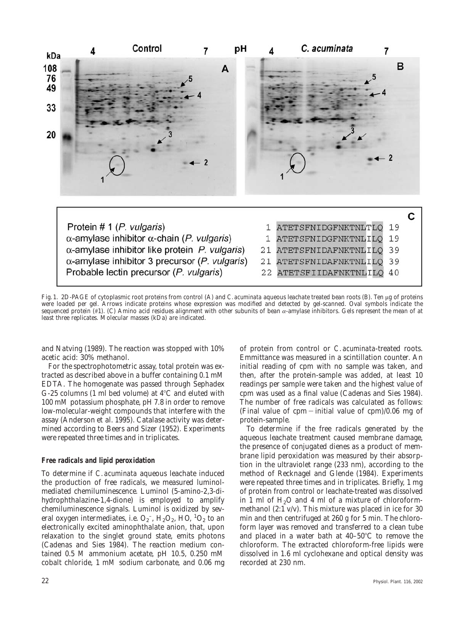

Fig. 1. 2D-PAGE of cytoplasmic root proteins from control (A) and *C. acuminata* aqueous leachate treated bean roots (B). Ten µg of proteins were loaded per gel. Arrows indicate proteins whose expression was modified and detected by gel-scanned. Oval symbols indicate the sequenced protein  $(\#1)$ . (C) Amino acid residues alignment with other subunits of bean  $\alpha$ -amylase inhibitors. Gels represent the mean of at least three replicates. Molecular masses (kDa) are indicated.

and Natving (1989). The reaction was stopped with 10% acetic acid: 30% methanol.

For the spectrophotometric assay, total protein was extracted as described above in a buffer containing 0.1 m*M* EDTA. The homogenate was passed through Sephadex G-25 columns (1 ml bed volume) at  $4^{\circ}$ C and eluted with 100 m*M* potassium phosphate, pH 7.8 in order to remove low-molecular-weight compounds that interfere with the assay (Anderson et al. 1995). Catalase activity was determined according to Beers and Sizer (1952). Experiments were repeated three times and in triplicates.

#### **Free radicals and lipid peroxidation**

To determine if *C. acuminata* aqueous leachate induced the production of free radicals, we measured luminolmediated chemiluminescence. Luminol (5-amino-2,3-dihydrophthalazine-1,4-dione) is employed to amplify chemiluminescence signals. Luminol is oxidized by several oxygen intermediates, i.e.  $O_2$ <sup>-</sup>,  $H_2O_2$ ,  $HO$ ,  ${}^1O_2$  to an electronically excited aminophthalate anion, that, upon relaxation to the singlet ground state, emits photons (Cadenas and Sies 1984). The reaction medium contained 0.5 *M* ammonium acetate, pH 10.5, 0.250 m*M* cobalt chloride, 1 m*M* sodium carbonate, and 0.06 mg

of protein from control or *C. acuminata*-treated roots. Emmittance was measured in a scintillation counter. An initial reading of cpm with no sample was taken, and then, after the protein-sample was added, at least 10 readings per sample were taken and the highest value of cpm was used as a final value (Cadenas and Sies 1984). The number of free radicals was calculated as follows: (Final value of cpm – initial value of cpm)/0.06 mg of protein-sample.

To determine if the free radicals generated by the aqueous leachate treatment caused membrane damage, the presence of conjugated dienes as a product of membrane lipid peroxidation was measured by their absorption in the ultraviolet range (233 nm), according to the method of Recknagel and Glende (1984). Experiments were repeated three times and in triplicates. Briefly, 1 mg of protein from control or leachate-treated was dissolved in 1 ml of  $H<sub>2</sub>O$  and 4 ml of a mixture of chloroformmethanol (2:1 v/v). This mixture was placed in ice for 30 min and then centrifuged at 260 *g* for 5 min. The chloroform layer was removed and transferred to a clean tube and placed in a water bath at  $40-50^{\circ}$ C to remove the chloroform. The extracted chloroform-free lipids were dissolved in 1.6 ml cyclohexane and optical density was recorded at 230 nm.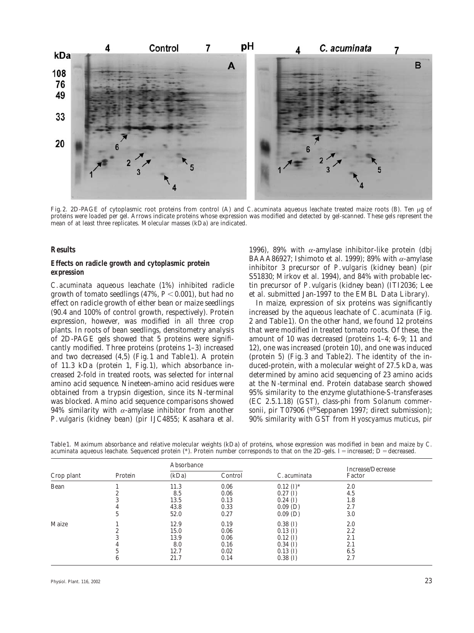

Fig. 2. 2D-PAGE of cytoplasmic root proteins from control (A) and *C. acuminata* aqueous leachate treated maize roots (B). Ten ug of proteins were loaded per gel. Arrows indicate proteins whose expression was modified and detected by gel-scanned. These gels represent the mean of at least three replicates. Molecular masses (kDa) are indicated.

#### **Results**

# **Effects on radicle growth and cytoplasmic protein expression**

*C. acuminata* aqueous leachate (1%) inhibited radicle growth of tomato seedlings  $(47\%, P<0.001)$ , but had no effect on radicle growth of either bean or maize seedlings (90.4 and 100% of control growth, respectively). Protein expression, however, was modified in all three crop plants. In roots of bean seedlings, densitometry analysis of 2D-PAGE gels showed that 5 proteins were significantly modified. Three proteins (proteins 1–3) increased and two decreased (4,5) (Fig. 1 and Table 1). A protein of 11.3 kDa (protein 1, Fig. 1), which absorbance increased 2-fold in treated roots, was selected for internal amino acid sequence. Nineteen-amino acid residues were obtained from a trypsin digestion, since its N-terminal was blocked. Amino acid sequence comparisons showed 94% similarity with  $\alpha$ -amylase inhibitor from another *P. vulgaris* (kidney bean) (pir IJC4855; Kasahara et al.

1996), 89% with  $\alpha$ -amylase inhibitor-like protein (dbj BAAA86927; Ishimoto et al. 1999); 89% with  $\alpha$ -amylase inhibitor 3 precursor of *P. vulgaris* (kidney bean) (pir S51830; Mirkov et al. 1994), and 84% with probable lectin precursor of *P. vulgaris* (kidney bean) (ITI2036; Lee et al. submitted Jan-1997 to the EMBL Data Library).

In maize, expression of six proteins was significantly increased by the aqueous leachate of *C. acuminata* (Fig. 2 and Table 1). On the other hand, we found 12 proteins that were modified in treated tomato roots. Of these, the amount of 10 was decreased (proteins 1–4; 6–9; 11 and 12), one was increased (protein 10), and one was induced (protein 5) (Fig. 3 and Table 2). The identity of the induced-protein, with a molecular weight of 27.5 kDa, was determined by amino acid sequencing of 23 amino acids at the N-terminal end. Protein database search showed 95% similarity to the enzyme glutathione-*S*-transferases (EC 2.5.1.18) (GST), class-phi from *Solanum commersonii*, pir T07906 (<sup>q9'</sup>Seppanen 1997; direct submission); 90% similarity with GST from *Hyoscyamus muticus*, pir

Table 1. Maximum absorbance and relative molecular weights (kDa) of proteins, whose expression was modified in bean and maize by *C. acuminata* aqueous leachate. Sequenced protein (\*). Protein number corresponds to that on the 2D-gels. I = increased; D = decreased.

| Crop plant | Protein | Absorbance |         |                      | Increase/Decrease |
|------------|---------|------------|---------|----------------------|-------------------|
|            |         | (kDa)      | Control | C. acuminata         | Factor            |
| Bean       |         | 11.3       | 0.06    | $0.12 \text{ (I)}^*$ | 2.0               |
|            |         | 8.5        | 0.06    | $0.27$ (I)           | 4.5               |
|            |         | 13.5       | 0.13    | $0.24$ (I)           | 1.8               |
|            |         | 43.8       | 0.33    | $0.09$ (D)           | 2.7               |
|            |         | 52.0       | 0.27    | $0.09$ (D)           | 3.0               |
| Maize      |         | 12.9       | 0.19    | $0.38$ (I)           | 2.0               |
|            |         | 15.0       | 0.06    | $0.13$ (I)           | 2.2               |
|            |         | 13.9       | 0.06    | $0.12$ (I)           | 2.1               |
|            |         | 8.0        | 0.16    | $0.34$ (I)           | 2.1               |
|            |         | 12.7       | 0.02    | $0.13$ (I)           | 6.5               |
|            |         | 21.7       | 0.14    | $0.38$ (I)           | 2.7               |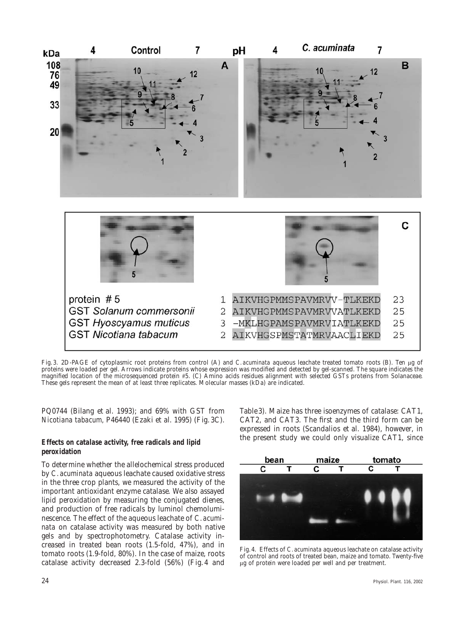

Fig. 3. 2D-PAGE of cytoplasmic root proteins from control (A) and *C. acuminata* aqueous leachate treated tomato roots (B). Ten µg of proteins were loaded per gel. Arrows indicate proteins whose expression was modified and detected by gel-scanned. The square indicates the magnified location of the microsequenced protein #5. (C) Amino acids residues alignment with selected GSTs proteins from Solanaceae. These gels represent the mean of at least three replicates. Molecular masses (kDa) are indicated.

PQ0744 (Bilang et al. 1993); and 69% with GST from *Nicotiana tabacum,* P46440 (Ezaki et al. 1995) (Fig. 3C).

#### **Effects on catalase activity, free radicals and lipid peroxidation**

To determine whether the allelochemical stress produced by *C. acuminata* aqueous leachate caused oxidative stress in the three crop plants, we measured the activity of the important antioxidant enzyme catalase. We also assayed lipid peroxidation by measuring the conjugated dienes, and production of free radicals by luminol chemoluminescence. The effect of the aqueous leachate of *C. acuminata* on catalase activity was measured by both native gels and by spectrophotometry. Catalase activity increased in treated bean roots (1.5-fold, 47%), and in tomato roots (1.9-fold, 80%). In the case of maize, roots catalase activity decreased 2.3-fold (56%) (Fig. 4 and Table 3). Maize has three isoenzymes of catalase: CAT1, CAT2, and CAT3. The first and the third form can be expressed in roots (Scandalios et al. 1984), however, in the present study we could only visualize CAT1, since



Fig. 4. Effects of *C. acuminata* aqueous leachate on catalase activity of control and roots of treated bean, maize and tomato. Twenty-five mg of protein were loaded per well and per treatment.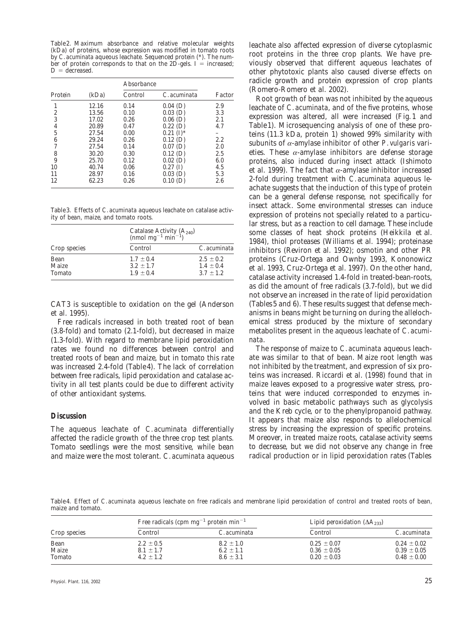Table 2. Maximum absorbance and relative molecular weights (kDa) of proteins, whose expression was modified in tomato roots by *C. acuminata* aqueous leachate. Sequenced protein (\*). The number of protein corresponds to that on the 2D-gels. I = increased;  $D =$  decreased.

|                |       | Absorbance |                          |        |
|----------------|-------|------------|--------------------------|--------|
| Protein        | (kDa) | Control    | C. acuminata             | Factor |
| 1              | 12.16 | 0.14       | $0.04$ (D)               | 2.9    |
| $\overline{c}$ | 13.56 | 0.10       | $0.03$ (D)               | 3.3    |
| 3              | 17.02 | 0.26       | $0.06$ (D)               | 2.1    |
| $\overline{4}$ | 20.89 | 0.47       | $0.22$ (D)               | 4.7    |
| 5              | 27.54 | 0.00       | $0.21 \; (\mathrm{I})^*$ |        |
| 6              | 29.24 | 0.26       | $0.12$ (D)               | 2.2    |
| 7              | 27.54 | 0.14       | $0.07$ (D)               | 2.0    |
| 8              | 30.20 | 0.30       | $0.12$ (D)               | 2.5    |
| 9              | 25.70 | 0.12       | $0.02$ (D)               | 6.0    |
| 10             | 40.74 | 0.06       | $0.27 \; (I)$            | 4.5    |
| 11             | 28.97 | 0.16       | $0.03$ (D)               | 5.3    |
| 12             | 62.23 | 0.26       | 0.10(D)                  | 2.6    |

Table 3. Effects of *C. acuminata* aqueous leachate on catalase activity of bean, maize, and tomato roots.

|                         | Catalase Activity $(A_{240})$<br>(nmol mg <sup>-1</sup> min <sup>-1</sup> ) |                                                 |  |
|-------------------------|-----------------------------------------------------------------------------|-------------------------------------------------|--|
| Crop species            | Control                                                                     | C. acuminata                                    |  |
| Bean<br>Maize<br>Tomato | $1.7 \pm 0.4$<br>$3.2 \pm 1.7$<br>$1.9 \pm 0.4$                             | $2.5 \pm 0.2$<br>$1.4 \pm 0.4$<br>$3.7 \pm 1.2$ |  |

CAT3 is susceptible to oxidation on the gel (Anderson et al. 1995).

Free radicals increased in both treated root of bean (3.8-fold) and tomato (2.1-fold), but decreased in maize (1.3-fold). With regard to membrane lipid peroxidation rates we found no differences between control and treated roots of bean and maize, but in tomato this rate was increased 2.4-fold (Table 4). The lack of correlation between free radicals, lipid peroxidation and catalase activity in all test plants could be due to different activity of other antioxidant systems.

#### **Discussion**

The aqueous leachate of *C. acuminata* differentially affected the radicle growth of the three crop test plants. Tomato seedlings were the most sensitive, while bean and maize were the most tolerant. *C. acuminata* aqueous leachate also affected expression of diverse cytoplasmic root proteins in the three crop plants. We have previously observed that different aqueous leachates of other phytotoxic plants also caused diverse effects on radicle growth and protein expression of crop plants (Romero-Romero et al. 2002).

Root growth of bean was not inhibited by the aqueous leachate of *C. acuminata*, and of the five proteins, whose expression was altered, all were increased (Fig. 1 and Table 1). Microsequencing analysis of one of these proteins (11.3 kDa, protein 1) showed 99% similarity with subunits of *a*-amylase inhibitor of other *P. vulgaris* varieties. These  $\alpha$ -amylase inhibitors are defense storage proteins, also induced during insect attack (Ishimoto et al. 1999). The fact that  $\alpha$ -amylase inhibitor increased 2-fold during treatment with *C. acuminata* aqueous leachate suggests that the induction of this type of protein can be a general defense response, not specifically for insect attack. Some environmental stresses can induce expression of proteins not specially related to a particular stress, but as a reaction to cell damage. These include some classes of heat shock proteins (Heikkila et al. 1984), thiol proteases (Williams et al. 1994); proteinase inhibitors (Reviron et al. 1992); osmotin and other PR proteins (Cruz-Ortega and Ownby 1993, Kononowicz et al. 1993, Cruz-Ortega et al. 1997). On the other hand, catalase activity increased 1.4-fold in treated-bean-roots, as did the amount of free radicals (3.7-fold), but we did not observe an increased in the rate of lipid peroxidation (Tables 5 and 6). These results suggest that defense mechanisms in beans might be turning on during the allelochemical stress produced by the mixture of secondary metabolites present in the aqueous leachate of *C. acuminata*.

The response of maize to *C. acuminata* aqueous leachate was similar to that of bean. Maize root length was not inhibited by the treatment, and expression of six proteins was increased. Riccardi et al. (1998) found that in maize leaves exposed to a progressive water stress, proteins that were induced corresponded to enzymes involved in basic metabolic pathways such as glycolysis and the Kreb cycle, or to the phenylpropanoid pathway. It appears that maize also responds to allelochemical stress by increasing the expression of specific proteins*.* Moreover, in treated maize roots, catalase activity seems to decrease, but we did not observe any change in free radical production or in lipid peroxidation rates (Tables

Table 4. Effect of *C. acuminata* aqueous leachate on free radicals and membrane lipid peroxidation of control and treated roots of bean*,* maize and tomato.

|                         |                                                 | Free radicals (cpm $mg^{-1}$ protein min <sup>-1</sup> | Lipid peroxidation $(AA_{233})$                       |                                                       |
|-------------------------|-------------------------------------------------|--------------------------------------------------------|-------------------------------------------------------|-------------------------------------------------------|
| Crop species            | Control                                         | C. acuminata                                           | Control                                               | C. acuminata                                          |
| Bean<br>Maize<br>Tomato | $2.2 \pm 0.5$<br>$8.1 \pm 1.7$<br>$4.2 \pm 1.2$ | $8.2 \pm 1.0$<br>$6.2 \pm 1.1$<br>$8.6 \pm 3.1$        | $0.25 \pm 0.07$<br>$0.36 \pm 0.05$<br>$0.20 \pm 0.03$ | $0.24 \pm 0.02$<br>$0.39 \pm 0.05$<br>$0.48 \pm 0.00$ |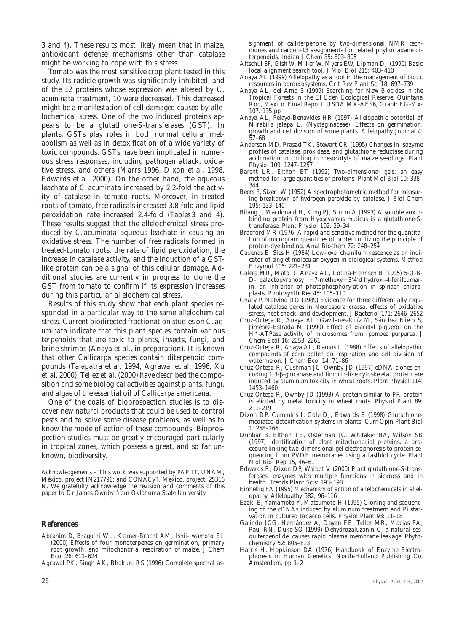3 and 4). These results most likely mean that in maize, antioxidant defense mechanisms other than catalase might be working to cope with this stress.

Tomato was the most sensitive crop plant tested in this study. Its radicle growth was significantly inhibited, and of the 12 proteins whose expression was altered by *C. acuminata* treatment, 10 were decreased. This decreased might be a manifestation of cell damaged caused by allelochemical stress. One of the two induced proteins appears to be a glutathione-*S*-transferases (GST). In plants, GSTs play roles in both normal cellular metabolism as well as in detoxification of a wide variety of toxic compounds. GSTs have been implicated in numerous stress responses, including pathogen attack, oxidative stress, and others (Marrs 1996, Dixon et al. 1998, Edwards et al. 2000). On the other hand, the aqueous leachate of *C. acuminata* increased by 2.2-fold the activity of catalase in tomato roots. Moreover, in treated roots of tomato, free radicals increased 3.8-fold and lipid peroxidation rate increased 2.4-fold (Tables 3 and 4). These results suggest that the allelochemical stress produced by *C. acuminata* aqueous leachate is causing an oxidative stress. The number of free radicals formed in treated-tomato roots, the rate of lipid peroxidation, the increase in catalase activity, and the induction of a GSTlike protein can be a signal of this cellular damage. Additional studies are currently in progress to clone the GST from tomato to confirm if its expression increases during this particular allelochemical stress.

Results of this study show that each plant species responded in a particular way to the same allelochemical stress. Current biodirected fractionation studies on *C. acuminata* indicate that this plant species contain various terpenoids that are toxic to plants, insects, fungi, and brine shrimps (Anaya et al., in preparation). It is known that other *Callicarpa* species contain diterpenoid compounds (Talapatra et al. 1994, Agrawal et al. 1996, Xu et al. 2000). Tellez et al. (2000) have described the composition and some biological activities against plants, fungi, and algae of the essential oil of *Callicarpa americana.*

One of the goals of bioprospection studies is to discover new natural products that could be used to control pests and to solve some disease problems, as well as to know the mode of action of these compounds. Bioprospection studies must be greatly encouraged particularly in tropical zones, which possess a great, and so far unknown, biodiversity.

*Acknowledgements* – This work was supported by PAPIIT, UNAM, México, project IN217796; and CONACyT, Mexico, project. 25316 N. We gratefully acknowledge the revision and comments of this paper to Dr James Ownby from Oklahoma State University.

#### **References**

- Abrahim D, Braguini WL, Kelmer-Bracht AM, Ishii-Iwamoto EL (2000) Effects of four monoterpenes on germination, primary root growth, and mitochondrial respiration of maize. J Chem Ecol 26: 611–624
- Agrawal PK, Singh AK, Bhakuni RS (1996) Complete spectral as-

signment of calliterpenone by two-dimensional NMR techniques and carbon-13 assignments for related phyllocladane diterpenoids. Indian J Chem 35: 803–805

- Altschul SF, Gish W, Miller W, Myers EW, Lipman DJ (1990) Basic local alignment search tool. J Mol Biol 215: 403–410
- Anaya AL (1999) Allelopathy as a tool in the management of biotic resources in agroecosystems. Crit Rev Plant Sci 18: 697–739
- Anaya AL, del Amo S (1999) Searching for New Biocides in the Tropical Forests in the El Eden Ecological Reserve, Quintana Roo, Mexico. Final Report. USDA MX-AES6, Grant: FG-Mx-107. 135 pp
- Anaya AL, Pelayo-Benavides HR (1997) Allelopathic potential of *Mirabilis jalapa* L. (Nyctaginaceae): Effects on germination, growth and cell division of some plants. Allelopathy Journal 4: 57–68
- Anderson MD, Prasad TK, Stewart CR (1995) Changes in isozyme profiles of catalase, proxidase, and glutathione reductase during acclimation to chilling in mesocotyls of maize seedlings. Plant Physiol 109: 1247–1257
- Barent LR, Elthon ET (1992) Two-dimensional gels: an easy method for large quantities of proteins. Plant Mol Biol 10: 338– 344
- Beers F, Sizer IW (1952) A spectrophotometric method for measuring breakdown of hydrogen peroxide by catalase. J Biol Chem 195: 133–140
- Bilang J, Macdonald H, King PJ, Sturm A (1993) A soluble auxinbinding protein from *Hyoscyamus muticus* is a glutathione-*S*transferase. Plant Physiol 102: 29–34
- Bradford MR (1976) A rapid and sensitive method for the quantitation of microgram quantities of protein utilizing the principle of protein-dye binding. Anal Biochem 72: 248–254
- Cadenas E, Sies H (1984) Low-level chemiluminescence as an indicator of singlet molecular oxygen in biological systems. Method Enzymol 105: 221–231
- Calera MR, Mata R, Anaya AL, Lotina-Hennsen B (1995) 5-O-B-D- galactopyranosy  $l-7$ -methoxy $-3'4'$ dihydroxi-4-fenilcumarin, an inhibitor of photophosphorylation in spinach chloroplasts. Photosynth Res 45: 105–110
- Chary P, Natving DO (1989) Evidence for three differentially regulated catalase genes in *Neurospora crassa*: effects of oxidative stress, heat shock, and development. J Bacteriol 171: 2646–2652
- Cruz-Ortega R, Anaya AL, Gavilanes-Ruíz M, Sánchez Nieto S, Jiménez-Estrada M (1990) Effect of diacetyl piquerol on the H<sup>+</sup>-ATPase activity of microsomes from *Ipomoea purpurea*. J Chem Ecol 16: 2253–2261
- Cruz-Ortega R, Anaya AL, Ramos L (1988) Effects of allelopathic compounds of corn pollen on respiration and cell division of watermelon. J Chem Ecol 14: 71–86
- Cruz-Ortega R, Cushman JC, Ownby JD (1997) cDNA clones encoding 1,3-b-glucanase and fimbrin-like cytoskeletal protein are induced by aluminum toxicity in wheat roots. Plant Physiol 114: 1453–1460
- Cruz-Ortega R, Ownby JD (1993) A protein similar to PR protein is elicited by metal toxicity in wheat roots. Physiol Plant 89: 211–219
- Dixon DP, Cummins I, Cole DJ, Edwards E (1998) Glutathionemediated detoxification systems in plants. Curr Opin Plant Biol 1: 258–266
- Dunbar B, Elthon TE, Osterman JC, Whitaker BA, Wilson SB (1997) Identification of plant mitochondrial proteins: a procedure linking two-dimensional gel electrophoresis to protein sequencing from PVDF membranes using a fastblot cycle. Plant Mol Biol Rep 15, 46–61
- Edwards R, Dixon DP, Walbot V (2000) Plant glutathione-*S*-transferases: enzymes with multiple functions in sickness and in health. Trends Plant Scis: 193–198
- Einhellig FA (1995) Mechanism of action of allelochemicals in allelopathy. Allelopathy 582, 96–116
- Ezaki B, Yamamoto Y, Matsumoto H (1995) Cloning and sequencing of the cDNAs induced by aluminum treatment and Pi starvation in cultured tobacco cells. Physiol Plant 93: 11–18
- Galindo JCG, Hernández A, Dayan FE, Téllez MR, Macias FA, Paul RN, Duke SO (1999) Dehydrozaluzanin C, a natural sesquiterpenolide, causes rapid plasma membrane leakage. Phytochemistry 52: 805–813
- Harris H, Hopkinson DA (1976) Handbook of Enzyme Electrophoresis in Human Genetics. North-Holland Publishing Co, Amsterdam, pp 1–2